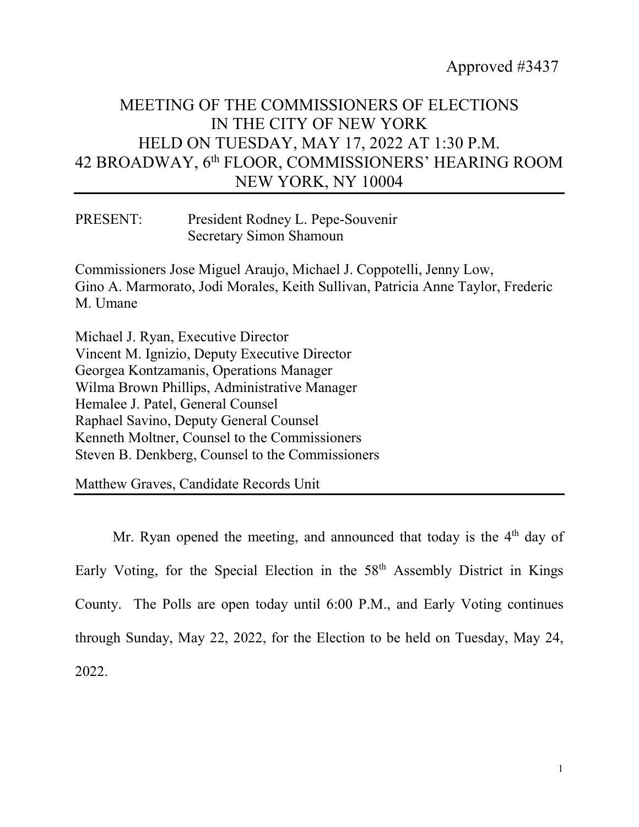Approved #3437

## MEETING OF THE COMMISSIONERS OF ELECTIONS IN THE CITY OF NEW YORK HELD ON TUESDAY, MAY 17, 2022 AT 1:30 P.M. 42 BROADWAY, 6th FLOOR, COMMISSIONERS' HEARING ROOM NEW YORK, NY 10004

PRESENT: President Rodney L. Pepe-Souvenir Secretary Simon Shamoun

Commissioners Jose Miguel Araujo, Michael J. Coppotelli, Jenny Low, Gino A. Marmorato, Jodi Morales, Keith Sullivan, Patricia Anne Taylor, Frederic M. Umane

Michael J. Ryan, Executive Director Vincent M. Ignizio, Deputy Executive Director Georgea Kontzamanis, Operations Manager Wilma Brown Phillips, Administrative Manager Hemalee J. Patel, General Counsel Raphael Savino, Deputy General Counsel Kenneth Moltner, Counsel to the Commissioners Steven B. Denkberg, Counsel to the Commissioners

Matthew Graves, Candidate Records Unit

Mr. Ryan opened the meeting, and announced that today is the 4<sup>th</sup> day of Early Voting, for the Special Election in the 58th Assembly District in Kings County. The Polls are open today until 6:00 P.M., and Early Voting continues through Sunday, May 22, 2022, for the Election to be held on Tuesday, May 24, 2022.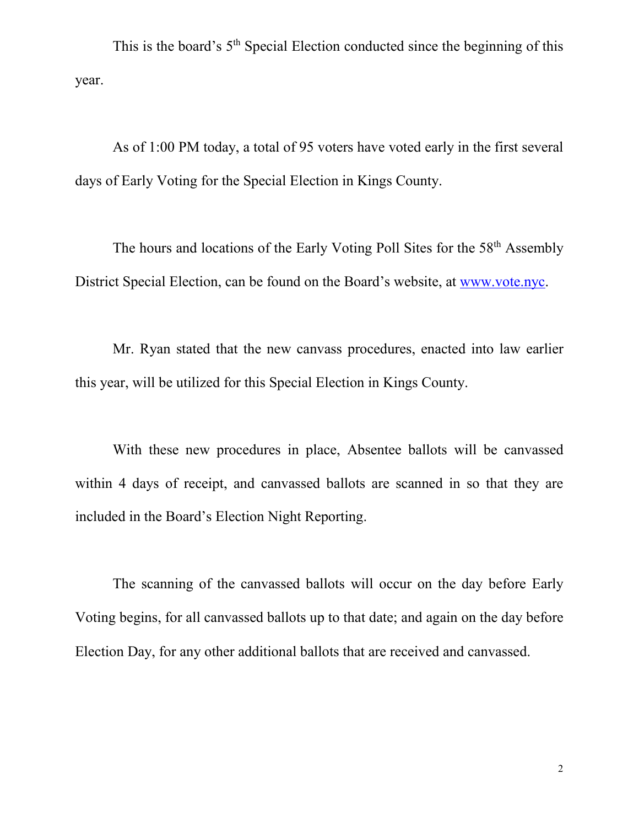This is the board's  $5<sup>th</sup>$  Special Election conducted since the beginning of this year.

As of 1:00 PM today, a total of 95 voters have voted early in the first several days of Early Voting for the Special Election in Kings County.

The hours and locations of the Early Voting Poll Sites for the 58<sup>th</sup> Assembly District Special Election, can be found on the Board's website, at [www.vote.nyc.](http://www.vote.nyc/)

Mr. Ryan stated that the new canvass procedures, enacted into law earlier this year, will be utilized for this Special Election in Kings County.

With these new procedures in place, Absentee ballots will be canvassed within 4 days of receipt, and canvassed ballots are scanned in so that they are included in the Board's Election Night Reporting.

The scanning of the canvassed ballots will occur on the day before Early Voting begins, for all canvassed ballots up to that date; and again on the day before Election Day, for any other additional ballots that are received and canvassed.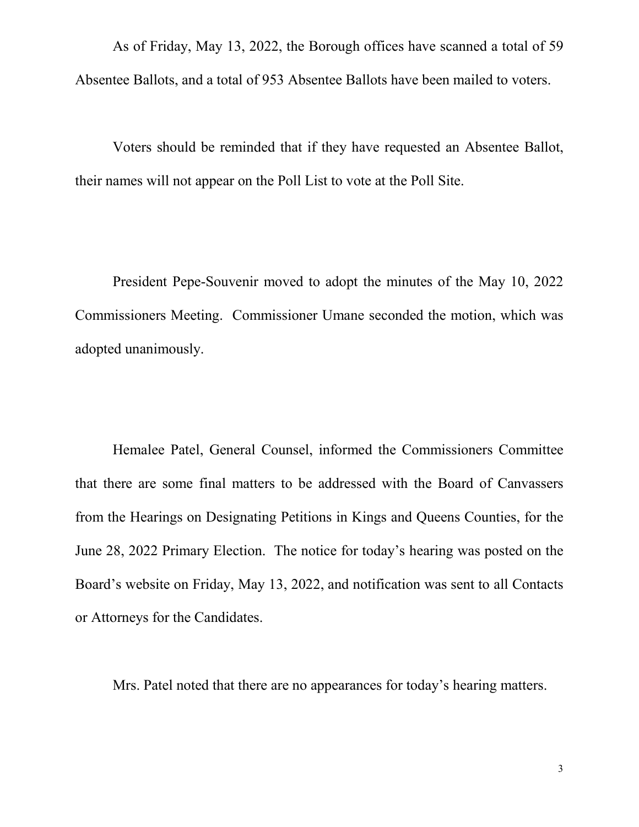As of Friday, May 13, 2022, the Borough offices have scanned a total of 59 Absentee Ballots, and a total of 953 Absentee Ballots have been mailed to voters.

Voters should be reminded that if they have requested an Absentee Ballot, their names will not appear on the Poll List to vote at the Poll Site.

President Pepe-Souvenir moved to adopt the minutes of the May 10, 2022 Commissioners Meeting. Commissioner Umane seconded the motion, which was adopted unanimously.

Hemalee Patel, General Counsel, informed the Commissioners Committee that there are some final matters to be addressed with the Board of Canvassers from the Hearings on Designating Petitions in Kings and Queens Counties, for the June 28, 2022 Primary Election. The notice for today's hearing was posted on the Board's website on Friday, May 13, 2022, and notification was sent to all Contacts or Attorneys for the Candidates.

Mrs. Patel noted that there are no appearances for today's hearing matters.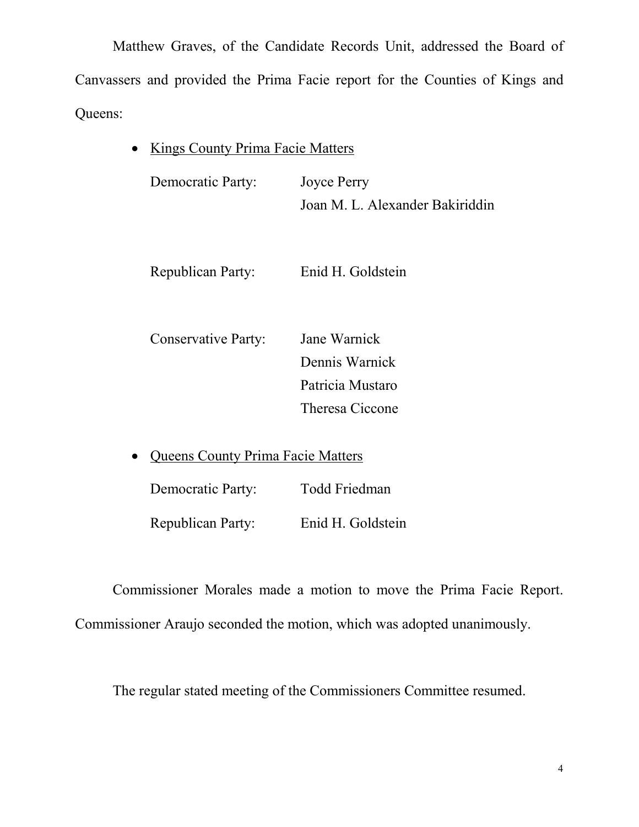Matthew Graves, of the Candidate Records Unit, addressed the Board of Canvassers and provided the Prima Facie report for the Counties of Kings and Queens:

• Kings County Prima Facie Matters

Democratic Party: Joyce Perry Joan M. L. Alexander Bakiriddin

Republican Party: Enid H. Goldstein

 Conservative Party: Jane Warnick Dennis Warnick Patricia Mustaro Theresa Ciccone

• Queens County Prima Facie Matters

Democratic Party: Todd Friedman Republican Party: Enid H. Goldstein

Commissioner Morales made a motion to move the Prima Facie Report. Commissioner Araujo seconded the motion, which was adopted unanimously.

The regular stated meeting of the Commissioners Committee resumed.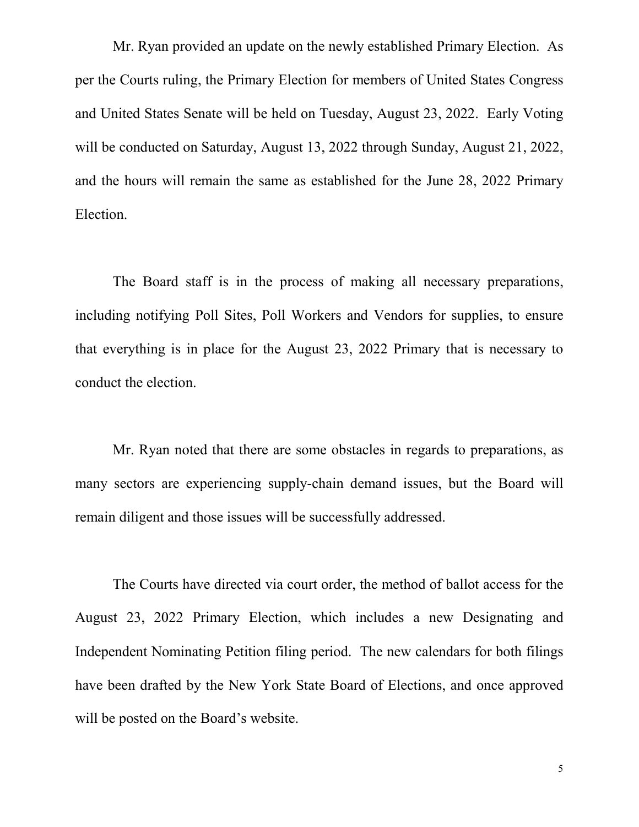Mr. Ryan provided an update on the newly established Primary Election. As per the Courts ruling, the Primary Election for members of United States Congress and United States Senate will be held on Tuesday, August 23, 2022. Early Voting will be conducted on Saturday, August 13, 2022 through Sunday, August 21, 2022, and the hours will remain the same as established for the June 28, 2022 Primary Election.

The Board staff is in the process of making all necessary preparations, including notifying Poll Sites, Poll Workers and Vendors for supplies, to ensure that everything is in place for the August 23, 2022 Primary that is necessary to conduct the election.

Mr. Ryan noted that there are some obstacles in regards to preparations, as many sectors are experiencing supply-chain demand issues, but the Board will remain diligent and those issues will be successfully addressed.

The Courts have directed via court order, the method of ballot access for the August 23, 2022 Primary Election, which includes a new Designating and Independent Nominating Petition filing period. The new calendars for both filings have been drafted by the New York State Board of Elections, and once approved will be posted on the Board's website.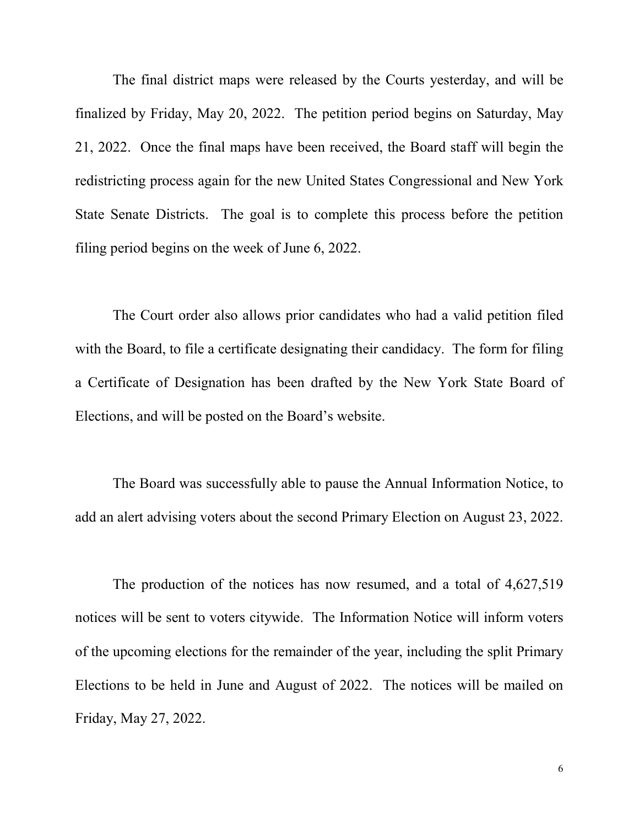The final district maps were released by the Courts yesterday, and will be finalized by Friday, May 20, 2022. The petition period begins on Saturday, May 21, 2022. Once the final maps have been received, the Board staff will begin the redistricting process again for the new United States Congressional and New York State Senate Districts. The goal is to complete this process before the petition filing period begins on the week of June 6, 2022.

The Court order also allows prior candidates who had a valid petition filed with the Board, to file a certificate designating their candidacy. The form for filing a Certificate of Designation has been drafted by the New York State Board of Elections, and will be posted on the Board's website.

The Board was successfully able to pause the Annual Information Notice, to add an alert advising voters about the second Primary Election on August 23, 2022.

The production of the notices has now resumed, and a total of 4,627,519 notices will be sent to voters citywide. The Information Notice will inform voters of the upcoming elections for the remainder of the year, including the split Primary Elections to be held in June and August of 2022. The notices will be mailed on Friday, May 27, 2022.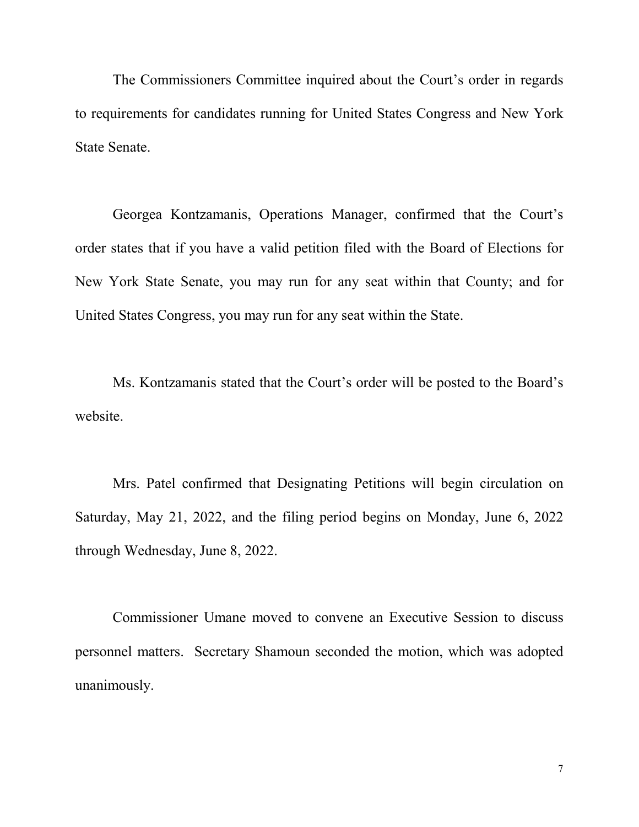The Commissioners Committee inquired about the Court's order in regards to requirements for candidates running for United States Congress and New York State Senate.

Georgea Kontzamanis, Operations Manager, confirmed that the Court's order states that if you have a valid petition filed with the Board of Elections for New York State Senate, you may run for any seat within that County; and for United States Congress, you may run for any seat within the State.

Ms. Kontzamanis stated that the Court's order will be posted to the Board's website.

Mrs. Patel confirmed that Designating Petitions will begin circulation on Saturday, May 21, 2022, and the filing period begins on Monday, June 6, 2022 through Wednesday, June 8, 2022.

Commissioner Umane moved to convene an Executive Session to discuss personnel matters. Secretary Shamoun seconded the motion, which was adopted unanimously.